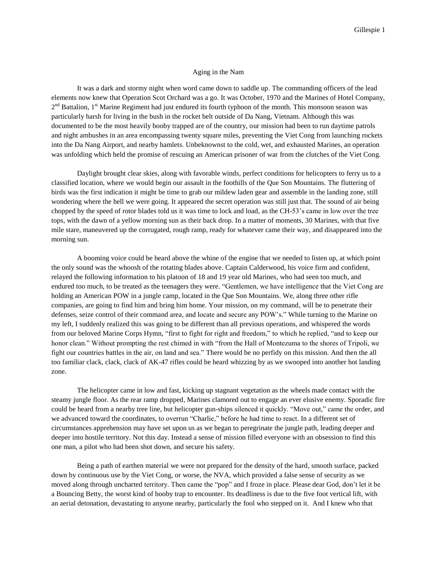## Aging in the Nam

It was a dark and stormy night when word came down to saddle up. The commanding officers of the lead elements now knew that Operation Scot Orchard was a go. It was October, 1970 and the Marines of Hotel Company, 2<sup>nd</sup> Battalion, 1<sup>st</sup> Marine Regiment had just endured its fourth typhoon of the month. This monsoon season was particularly harsh for living in the bush in the rocket belt outside of Da Nang, Vietnam. Although this was documented to be the most heavily booby trapped are of the country, our mission had been to run daytime patrols and night ambushes in an area encompassing twenty square miles, preventing the Viet Cong from launching rockets into the Da Nang Airport, and nearby hamlets. Unbeknownst to the cold, wet, and exhausted Marines, an operation was unfolding which held the promise of rescuing an American prisoner of war from the clutches of the Viet Cong.

Daylight brought clear skies, along with favorable winds, perfect conditions for helicopters to ferry us to a classified location, where we would begin our assault in the foothills of the Que Son Mountains. The fluttering of birds was the first indication it might be time to grab our mildew laden gear and assemble in the landing zone, still wondering where the hell we were going. It appeared the secret operation was still just that. The sound of air being chopped by the speed of rotor blades told us it was time to lock and load, as the CH-53's came in low over the tree tops, with the dawn of a yellow morning sun as their back drop. In a matter of moments, 30 Marines, with that five mile stare, maneuvered up the corrugated, rough ramp, ready for whatever came their way, and disappeared into the morning sun.

A booming voice could be heard above the whine of the engine that we needed to listen up, at which point the only sound was the whoosh of the rotating blades above. Captain Calderwood, his voice firm and confident, relayed the following information to his platoon of 18 and 19 year old Marines, who had seen too much, and endured too much, to be treated as the teenagers they were. "Gentlemen, we have intelligence that the Viet Cong are holding an American POW in a jungle camp, located in the Que Son Mountains. We, along three other rifle companies, are going to find him and bring him home. Your mission, on my command, will be to penetrate their defenses, seize control of their command area, and locate and secure any POW's." While turning to the Marine on my left, I suddenly realized this was going to be different than all previous operations, and whispered the words from our beloved Marine Corps Hymn, "first to fight for right and freedom," to which he replied, "and to keep our honor clean." Without prompting the rest chimed in with "from the Hall of Montezuma to the shores of Tripoli, we fight our countries battles in the air, on land and sea." There would be no perfidy on this mission. And then the all too familiar clack, clack, clack of AK-47 rifles could be heard whizzing by as we swooped into another hot landing zone.

The helicopter came in low and fast, kicking up stagnant vegetation as the wheels made contact with the steamy jungle floor. As the rear ramp dropped, Marines clamored out to engage an ever elusive enemy. Sporadic fire could be heard from a nearby tree line, but helicopter gun-ships silenced it quickly. "Move out," came the order, and we advanced toward the coordinates, to overrun "Charlie," before he had time to react. In a different set of circumstances apprehension may have set upon us as we began to peregrinate the jungle path, leading deeper and deeper into hostile territory. Not this day. Instead a sense of mission filled everyone with an obsession to find this one man, a pilot who had been shot down, and secure his safety.

Being a path of earthen material we were not prepared for the density of the hard, smooth surface, packed down by continuous use by the Viet Cong, or worse, the NVA, which provided a false sense of security as we moved along through uncharted territory. Then came the "pop" and I froze in place. Please dear God, don't let it be a Bouncing Betty, the worst kind of booby trap to encounter. Its deadliness is due to the five foot vertical lift, with an aerial detonation, devastating to anyone nearby, particularly the fool who stepped on it. And I knew who that